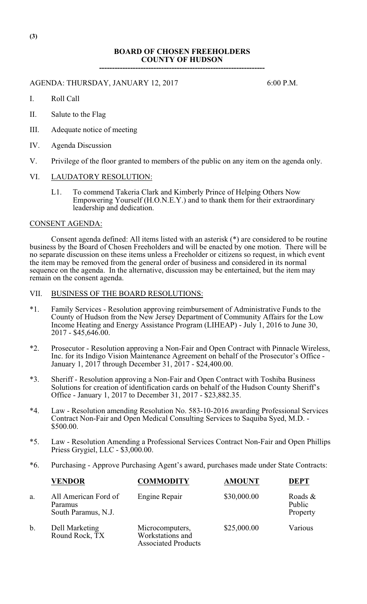#### **BOARD OF CHOSEN FREEHOLDERS COUNTY OF HUDSON ----------------------------------------------------------------**

#### AGENDA: THURSDAY, JANUARY 12, 2017 6:00 P.M.

I. Roll Call

- II. Salute to the Flag
- III. Adequate notice of meeting
- IV. Agenda Discussion
- V. Privilege of the floor granted to members of the public on any item on the agenda only.

# VI. LAUDATORY RESOLUTION:

L1. To commend Takeria Clark and Kimberly Prince of Helping Others Now Empowering Yourself (H.O.N.E.Y.) and to thank them for their extraordinary leadership and dedication.

#### CONSENT AGENDA:

Consent agenda defined: All items listed with an asterisk (\*) are considered to be routine business by the Board of Chosen Freeholders and will be enacted by one motion. There will be no separate discussion on these items unless a Freeholder or citizens so request, in which event the item may be removed from the general order of business and considered in its normal sequence on the agenda. In the alternative, discussion may be entertained, but the item may remain on the consent agenda.

- VII. BUSINESS OF THE BOARD RESOLUTIONS:
- \*1. Family Services Resolution approving reimbursement of Administrative Funds to the County of Hudson from the New Jersey Department of Community Affairs for the Low Income Heating and Energy Assistance Program (LIHEAP) - July 1, 2016 to June 30, 2017 - \$45,646.00.
- \*2. Prosecutor Resolution approving a Non-Fair and Open Contract with Pinnacle Wireless, Inc. for its Indigo Vision Maintenance Agreement on behalf of the Prosecutor's Office - January 1, 2017 through December 31, 2017 - \$24,400.00.
- \*3. Sheriff Resolution approving a Non-Fair and Open Contract with Toshiba Business Solutions for creation of identification cards on behalf of the Hudson County Sheriff's Office - January 1, 2017 to December 31, 2017 - \$23,882.35.
- \*4. Law Resolution amending Resolution No. 583-10-2016 awarding Professional Services Contract Non-Fair and Open Medical Consulting Services to Saquiba Syed, M.D. - \$500.00.
- \*5. Law Resolution Amending a Professional Services Contract Non-Fair and Open Phillips Priess Grygiel, LLC - \$3,000.00.
- \*6. Purchasing Approve Purchasing Agent's award, purchases made under State Contracts:

|    | <b>VENDOR</b>                                          | <b>COMMODITY</b>                                                  | <b>AMOUNT</b> | <b>DEPT</b>                      |
|----|--------------------------------------------------------|-------------------------------------------------------------------|---------------|----------------------------------|
| a. | All American Ford of<br>Paramus<br>South Paramus, N.J. | Engine Repair                                                     | \$30,000.00   | Roads $\&$<br>Public<br>Property |
| b. | Dell Marketing<br>Round Rock, TX                       | Microcomputers,<br>Workstations and<br><b>Associated Products</b> | \$25,000.00   | Various                          |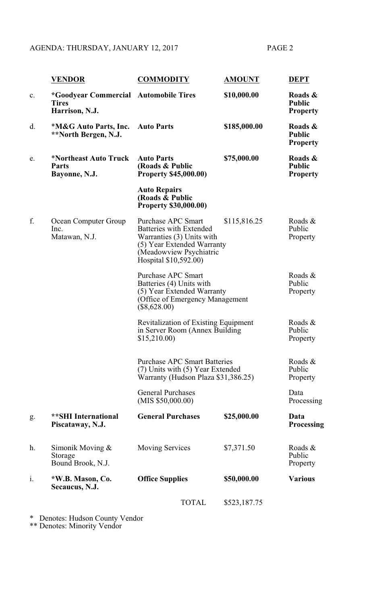# AGENDA: THURSDAY, JANUARY 12, 2017 PAGE 2

|                | <b>VENDOR</b>                                                                  | <b>COMMODITY</b>                                                                                                                                                                                                                                                                                                                                            | <b>AMOUNT</b> | <b>DEPT</b>                                 |
|----------------|--------------------------------------------------------------------------------|-------------------------------------------------------------------------------------------------------------------------------------------------------------------------------------------------------------------------------------------------------------------------------------------------------------------------------------------------------------|---------------|---------------------------------------------|
| $\mathbf{c}$ . | <i>*Goodyear Commercial Automobile Tires</i><br><b>Tires</b><br>Harrison, N.J. |                                                                                                                                                                                                                                                                                                                                                             | \$10,000.00   | Roads &<br><b>Public</b><br><b>Property</b> |
| d.             | *M&G Auto Parts, Inc.<br>**North Bergen, N.J.                                  | <b>Auto Parts</b>                                                                                                                                                                                                                                                                                                                                           | \$185,000.00  | Roads &<br><b>Public</b><br><b>Property</b> |
| e.             | *Northeast Auto Truck<br><b>Parts</b><br>Bayonne, N.J.                         | <b>Auto Parts</b><br>(Roads & Public<br><b>Property \$45,000.00)</b>                                                                                                                                                                                                                                                                                        | \$75,000.00   | Roads &<br><b>Public</b><br><b>Property</b> |
|                |                                                                                | <b>Auto Repairs</b><br>(Roads & Public<br><b>Property \$30,000.00)</b>                                                                                                                                                                                                                                                                                      |               |                                             |
| f.             | Ocean Computer Group<br>Inc.<br>Matawan, N.J.                                  | <b>Purchase APC Smart</b><br><b>Batteries with Extended</b><br>Warranties (3) Units with<br>(5) Year Extended Warranty<br>(Meadowview Psychiatric<br>Hospital \$10,592.00)                                                                                                                                                                                  | \$115,816.25  | Roads &<br>Public<br>Property               |
|                |                                                                                | <b>Purchase APC Smart</b><br>Batteries (4) Units with<br>(5) Year Extended Warranty<br>(Office of Emergency Management<br>$(\$8,628.00)$<br><b>Revitalization of Existing Equipment</b><br>in Server Room (Annex Building)<br>\$15,210.00<br><b>Purchase APC Smart Batteries</b><br>(7) Units with (5) Year Extended<br>Warranty (Hudson Plaza \$31,386.25) |               | Roads &<br>Public<br>Property               |
|                |                                                                                |                                                                                                                                                                                                                                                                                                                                                             |               | Roads &<br>Public<br>Property               |
|                |                                                                                |                                                                                                                                                                                                                                                                                                                                                             |               | Roads &<br>Public<br>Property               |
|                |                                                                                | <b>General Purchases</b><br>(MIS \$50,000.00)                                                                                                                                                                                                                                                                                                               |               | Data<br>Processing                          |
| g.             | <b>**SHI</b> International<br>Piscataway, N.J.                                 | <b>General Purchases</b>                                                                                                                                                                                                                                                                                                                                    | \$25,000.00   | Data<br><b>Processing</b>                   |
| h.             | Simonik Moving $&$<br>Storage<br>Bound Brook, N.J.                             | <b>Moving Services</b>                                                                                                                                                                                                                                                                                                                                      | \$7,371.50    | Roads &<br>Public<br>Property               |
| $\mathbf{i}$ . | *W.B. Mason, Co.<br>Secaucus, N.J.                                             | <b>Office Supplies</b>                                                                                                                                                                                                                                                                                                                                      | \$50,000.00   | <b>Various</b>                              |
|                |                                                                                | <b>TOTAL</b>                                                                                                                                                                                                                                                                                                                                                | \$523,187.75  |                                             |

\* Denotes: Hudson County Vendor

\*\* Denotes: Minority Vendor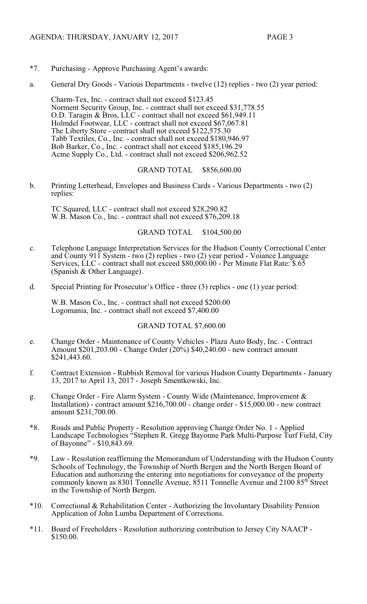- \*7. Purchasing Approve Purchasing Agent's awards:
- a. General Dry Goods Various Departments twelve (12) replies two (2) year period:

Charm-Tex, Inc. - contract shall not exceed \$123.45 Norment Security Group, Inc. - contract shall not exceed \$31,778.55 O.D. Taragin & Bros, LLC - contract shall not exceed \$61,949.11 Holmdel Footwear, LLC - contract shall not exceed \$67,067.81 The Liberty Store - contract shall not exceed \$122,575.30 Tabb Textiles, Co., Inc. - contract shall not exceed \$180,946.97 Bob Barker, Co., Inc. - contract shall not exceed \$185,196.29 Acme Supply Co., Ltd. - contract shall not exceed \$206,962.52

# GRAND TOTAL \$856,600.00

b. Printing Letterhead, Envelopes and Business Cards - Various Departments - two (2) replies:

TC Squared, LLC - contract shall not exceed \$28,290.82 W.B. Mason Co., Inc. - contract shall not exceed \$76,209.18

# GRAND TOTAL \$104,500.00

- c. Telephone Language Interpretation Services for the Hudson County Correctional Center and County 911 System - two (2) replies - two (2) year period - Voiance Language Services, LLC - contract shall not exceed \$80,000.00 - Per Minute Flat Rate: \$.65 (Spanish & Other Language).
- d. Special Printing for Prosecutor's Office three (3) replies one (1) year period:

W.B. Mason Co., Inc. - contract shall not exceed \$200.00 Logomania, Inc. - contract shall not exceed \$7,400.00

# GRAND TOTAL \$7,600.00

- e. Change Order Maintenance of County Vehicles Plaza Auto Body, Inc. Contract Amount \$201,203.00 - Change Order (20%) \$40,240.00 - new contract amount \$241,443.60.
- f. Contract Extension Rubbish Removal for various Hudson County Departments January 13, 2017 to April 13, 2017 - Joseph Smentkowski, Inc.
- g. Change Order Fire Alarm System County Wide (Maintenance, Improvement & Installation) - contract amount \$216,700.00 - change order - \$15,000.00 - new contract amount \$231,700.00.
- \*8. Roads and Public Property Resolution approving Change Order No. 1 Applied Landscape Technologies "Stephen R. Gregg Bayonne Park Multi-Purpose Turf Field, City of Bayonne" - \$10,843.69.
- \*9. Law Resolution reaffirming the Memorandum of Understanding with the Hudson County Schools of Technology, the Township of North Bergen and the North Bergen Board of Education and authorizing the entering into negotiations for conveyance of the property commonly known as  $830\overline{1}$  Tonnelle Avenue,  $8511$  Tonnelle Avenue and  $2100\overline{85}$ <sup>th</sup> Street in the Township of North Bergen.
- \*10. Correctional & Rehabilitation Center Authorizing the Involuntary Disability Pension Application of John Lumba Department of Corrections.
- \*11. Board of Freeholders Resolution authorizing contribution to Jersey City NAACP \$150.00.